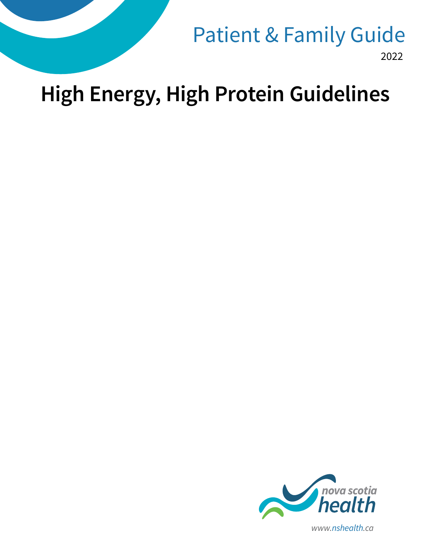

2022 Patient & Family Guide

# **High Energy, High Protein Guidelines**

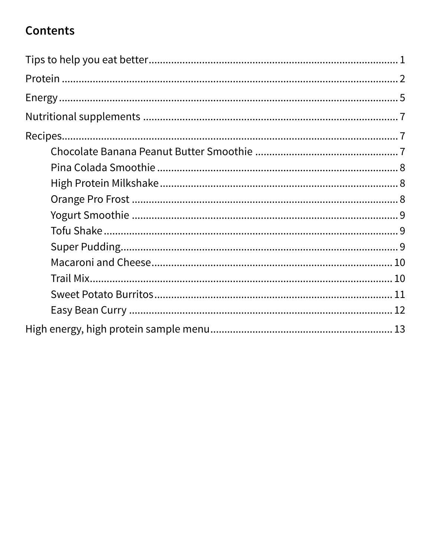## **Contents**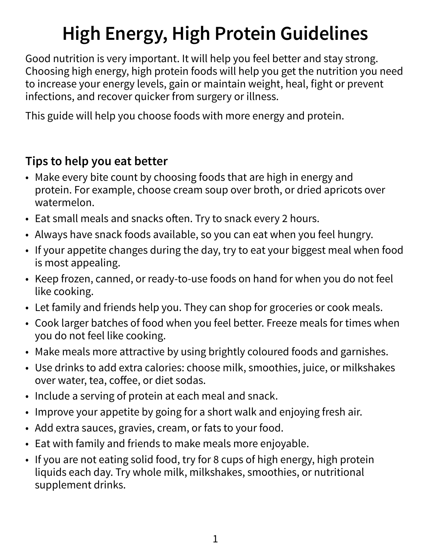## **High Energy, High Protein Guidelines**

Good nutrition is very important. It will help you feel better and stay strong. Choosing high energy, high protein foods will help you get the nutrition you need to increase your energy levels, gain or maintain weight, heal, fight or prevent infections, and recover quicker from surgery or illness.

This guide will help you choose foods with more energy and protein.

## **Tips to help you eat better**

- Make every bite count by choosing foods that are high in energy and protein. For example, choose cream soup over broth, or dried apricots over watermelon.
- Eat small meals and snacks often. Try to snack every 2 hours.
- Always have snack foods available, so you can eat when you feel hungry.
- If your appetite changes during the day, try to eat your biggest meal when food is most appealing.
- Keep frozen, canned, or ready-to-use foods on hand for when you do not feel like cooking.
- Let family and friends help you. They can shop for groceries or cook meals.
- Cook larger batches of food when you feel better. Freeze meals for times when you do not feel like cooking.
- Make meals more attractive by using brightly coloured foods and garnishes.
- Use drinks to add extra calories: choose milk, smoothies, juice, or milkshakes over water, tea, coffee, or diet sodas.
- Include a serving of protein at each meal and snack.
- Improve your appetite by going for a short walk and enjoying fresh air.
- Add extra sauces, gravies, cream, or fats to your food.
- Eat with family and friends to make meals more enjoyable.
- If you are not eating solid food, try for 8 cups of high energy, high protein liquids each day. Try whole milk, milkshakes, smoothies, or nutritional supplement drinks.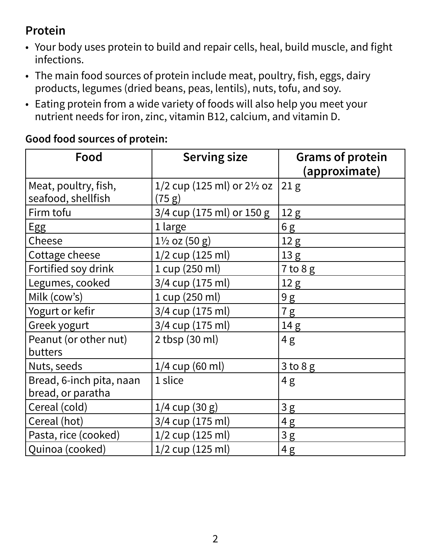## **Protein**

- Your body uses protein to build and repair cells, heal, build muscle, and fight infections.
- The main food sources of protein include meat, poultry, fish, eggs, dairy products, legumes (dried beans, peas, lentils), nuts, tofu, and soy.
- Eating protein from a wide variety of foods will also help you meet your nutrient needs for iron, zinc, vitamin B12, calcium, and vitamin D.

| Good food sources of protein: |  |
|-------------------------------|--|
|-------------------------------|--|

| Food                                          | <b>Serving size</b>                             | <b>Grams of protein</b><br>(approximate) |
|-----------------------------------------------|-------------------------------------------------|------------------------------------------|
| Meat, poultry, fish,<br>seafood, shellfish    | 1/2 cup (125 ml) or $2\frac{1}{2}$ oz<br>(75 g) | $\vert 21 \mathrm{g} \vert$              |
| Firm tofu                                     | 3/4 cup (175 ml) or 150 g                       | 12 <sub>g</sub>                          |
| Egg                                           | 1 large                                         | 6 g                                      |
| Cheese                                        | $1\frac{1}{2}$ oz $(50 g)$                      | 12 <sub>g</sub>                          |
| Cottage cheese                                | $1/2$ cup (125 ml)                              | 13 <sub>g</sub>                          |
| Fortified soy drink                           | 1 cup (250 ml)                                  | $7$ to $8g$                              |
| Legumes, cooked                               | 3/4 cup (175 ml)                                | 12 <sub>g</sub>                          |
| Milk (cow's)                                  | 1 cup (250 ml)                                  | 9g                                       |
| Yogurt or kefir                               | 3/4 cup (175 ml)                                | 7g                                       |
| Greek yogurt                                  | 3/4 cup (175 ml)                                | 14g                                      |
| Peanut (or other nut)<br>butters              | 2 tbsp (30 ml)                                  | 4g                                       |
| Nuts, seeds                                   | $1/4$ cup (60 ml)                               | $3$ to $8$ g                             |
| Bread, 6-inch pita, naan<br>bread, or paratha | 1 slice                                         | 4g                                       |
| Cereal (cold)                                 | $1/4$ cup (30 g)                                | 3g                                       |
| Cereal (hot)                                  | 3/4 cup (175 ml)                                | 4g                                       |
| Pasta, rice (cooked)                          | $1/2$ cup (125 ml)                              | 3g                                       |
| Quinoa (cooked)                               | 1/2 cup (125 ml)                                | 4g                                       |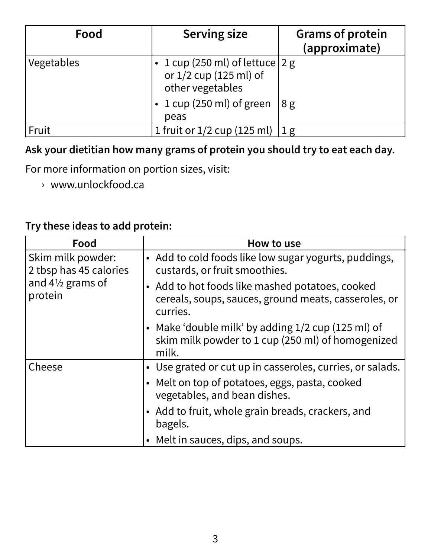| Food       | <b>Serving size</b>                                                               | <b>Grams of protein</b><br>(approximate) |
|------------|-----------------------------------------------------------------------------------|------------------------------------------|
| Vegetables | • 1 cup (250 ml) of lettuce $ 2 g $<br>or 1/2 cup (125 ml) of<br>other vegetables |                                          |
|            | $\cdot$ 1 cup (250 ml) of green<br>peas                                           | 8g                                       |
| Fruit      | 1 fruit or $1/2$ cup (125 ml)                                                     | $1 \text{ g}$                            |

#### **Ask your dietitian how many grams of protein you should try to eat each day.**

For more information on portion sizes, visit:

› www.unlockfood.ca

#### **Try these ideas to add protein:**

| Food                                                                                  | How to use                                                                                                          |
|---------------------------------------------------------------------------------------|---------------------------------------------------------------------------------------------------------------------|
| Skim milk powder:<br>2 tbsp has 45 calories<br>and $4\frac{1}{2}$ grams of<br>protein | • Add to cold foods like low sugar yogurts, puddings,<br>custards, or fruit smoothies.                              |
|                                                                                       | • Add to hot foods like mashed potatoes, cooked<br>cereals, soups, sauces, ground meats, casseroles, or<br>curries. |
|                                                                                       | • Make 'double milk' by adding $1/2$ cup (125 ml) of<br>skim milk powder to 1 cup (250 ml) of homogenized<br>milk.  |
| Cheese                                                                                | • Use grated or cut up in casseroles, curries, or salads.                                                           |
|                                                                                       | • Melt on top of potatoes, eggs, pasta, cooked<br>vegetables, and bean dishes.                                      |
|                                                                                       | • Add to fruit, whole grain breads, crackers, and<br>bagels.                                                        |
|                                                                                       | • Melt in sauces, dips, and soups.                                                                                  |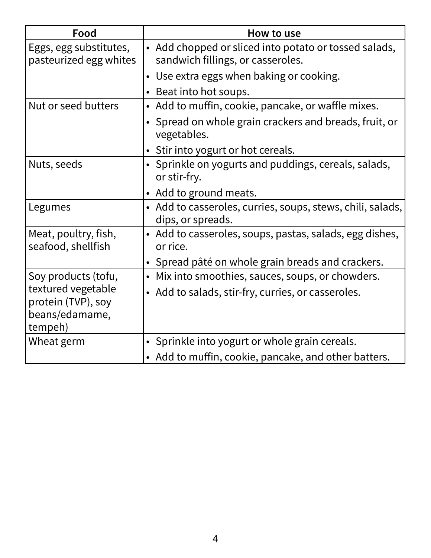| Food                                                       | How to use                                                                                 |
|------------------------------------------------------------|--------------------------------------------------------------------------------------------|
| Eggs, egg substitutes,<br>pasteurized egg whites           | • Add chopped or sliced into potato or tossed salads,<br>sandwich fillings, or casseroles. |
|                                                            | • Use extra eggs when baking or cooking.                                                   |
|                                                            | • Beat into hot soups.                                                                     |
| Nut or seed butters                                        | • Add to muffin, cookie, pancake, or waffle mixes.                                         |
|                                                            | Spread on whole grain crackers and breads, fruit, or<br>vegetables.                        |
|                                                            | • Stir into yogurt or hot cereals.                                                         |
| Nuts, seeds                                                | • Sprinkle on yogurts and puddings, cereals, salads,<br>or stir-fry.                       |
|                                                            | • Add to ground meats.                                                                     |
| Legumes                                                    | • Add to casseroles, curries, soups, stews, chili, salads,<br>dips, or spreads.            |
| Meat, poultry, fish,<br>seafood, shellfish                 | • Add to casseroles, soups, pastas, salads, egg dishes,<br>or rice.                        |
|                                                            | • Spread pâté on whole grain breads and crackers.                                          |
| Soy products (tofu,                                        | Mix into smoothies, sauces, soups, or chowders.<br>$\bullet$                               |
| textured vegetable<br>protein (TVP), soy<br>beans/edamame, | • Add to salads, stir-fry, curries, or casseroles.                                         |
| tempeh)                                                    |                                                                                            |
| Wheat germ                                                 | Sprinkle into yogurt or whole grain cereals.                                               |
|                                                            | • Add to muffin, cookie, pancake, and other batters.                                       |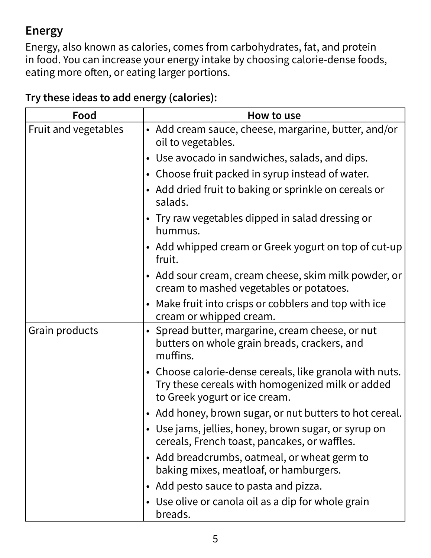## **Energy**

Energy, also known as calories, comes from carbohydrates, fat, and protein in food. You can increase your energy intake by choosing calorie-dense foods, eating more often, or eating larger portions.

| Food                 | How to use                                                                                                                                   |
|----------------------|----------------------------------------------------------------------------------------------------------------------------------------------|
| Fruit and vegetables | • Add cream sauce, cheese, margarine, butter, and/or<br>oil to vegetables.                                                                   |
|                      | • Use avocado in sandwiches, salads, and dips.                                                                                               |
|                      | • Choose fruit packed in syrup instead of water.                                                                                             |
|                      | • Add dried fruit to baking or sprinkle on cereals or<br>salads.                                                                             |
|                      | • Try raw vegetables dipped in salad dressing or<br>hummus.                                                                                  |
|                      | • Add whipped cream or Greek yogurt on top of cut-up<br>fruit.                                                                               |
|                      | • Add sour cream, cream cheese, skim milk powder, or<br>cream to mashed vegetables or potatoes.                                              |
|                      | • Make fruit into crisps or cobblers and top with ice<br>cream or whipped cream.                                                             |
| Grain products       | • Spread butter, margarine, cream cheese, or nut<br>butters on whole grain breads, crackers, and<br>muffins.                                 |
|                      | • Choose calorie-dense cereals, like granola with nuts.<br>Try these cereals with homogenized milk or added<br>to Greek yogurt or ice cream. |
|                      | • Add honey, brown sugar, or nut butters to hot cereal.                                                                                      |
|                      | • Use jams, jellies, honey, brown sugar, or syrup on<br>cereals, French toast, pancakes, or waffles.                                         |
|                      | • Add breadcrumbs, oatmeal, or wheat germ to<br>baking mixes, meatloaf, or hamburgers.                                                       |
|                      | • Add pesto sauce to pasta and pizza.                                                                                                        |
|                      | • Use olive or canola oil as a dip for whole grain<br>breads.                                                                                |

### **Try these ideas to add energy (calories):**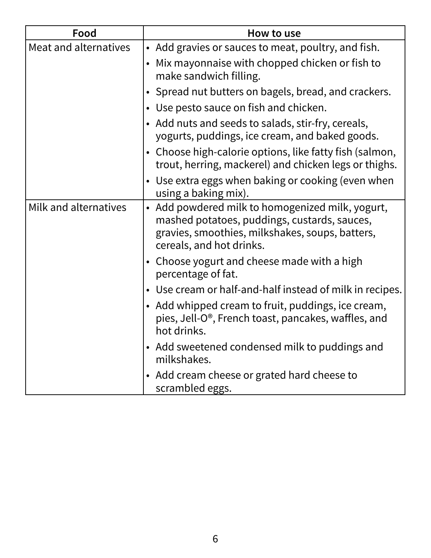| Food                  | How to use                                                                                                                                                                      |
|-----------------------|---------------------------------------------------------------------------------------------------------------------------------------------------------------------------------|
| Meat and alternatives | • Add gravies or sauces to meat, poultry, and fish.                                                                                                                             |
|                       | • Mix mayonnaise with chopped chicken or fish to<br>make sandwich filling.                                                                                                      |
|                       | • Spread nut butters on bagels, bread, and crackers.                                                                                                                            |
|                       | • Use pesto sauce on fish and chicken.                                                                                                                                          |
|                       | • Add nuts and seeds to salads, stir-fry, cereals,<br>yogurts, puddings, ice cream, and baked goods.                                                                            |
|                       | • Choose high-calorie options, like fatty fish (salmon,<br>trout, herring, mackerel) and chicken legs or thighs.                                                                |
|                       | • Use extra eggs when baking or cooking (even when<br>using a baking mix).                                                                                                      |
| Milk and alternatives | • Add powdered milk to homogenized milk, yogurt,<br>mashed potatoes, puddings, custards, sauces,<br>gravies, smoothies, milkshakes, soups, batters,<br>cereals, and hot drinks. |
|                       | • Choose yogurt and cheese made with a high<br>percentage of fat.                                                                                                               |
|                       | • Use cream or half-and-half instead of milk in recipes.                                                                                                                        |
|                       | • Add whipped cream to fruit, puddings, ice cream,<br>pies, Jell-O <sup>®</sup> , French toast, pancakes, waffles, and<br>hot drinks.                                           |
|                       | • Add sweetened condensed milk to puddings and<br>milkshakes.                                                                                                                   |
|                       | • Add cream cheese or grated hard cheese to<br>scrambled eggs.                                                                                                                  |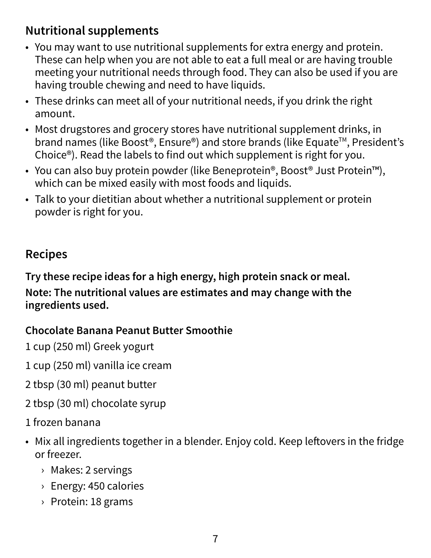## **Nutritional supplements**

- You may want to use nutritional supplements for extra energy and protein. These can help when you are not able to eat a full meal or are having trouble meeting your nutritional needs through food. They can also be used if you are having trouble chewing and need to have liquids.
- These drinks can meet all of your nutritional needs, if you drink the right amount.
- Most drugstores and grocery stores have nutritional supplement drinks, in brand names (like Boost®, Ensure®) and store brands (like Equate™, President's Choice®). Read the labels to find out which supplement is right for you.
- You can also buy protein powder (like Beneprotein®, Boost® Just Protein™), which can be mixed easily with most foods and liquids.
- Talk to your dietitian about whether a nutritional supplement or protein powder is right for you.

## **Recipes**

**Try these recipe ideas for a high energy, high protein snack or meal. Note: The nutritional values are estimates and may change with the ingredients used.** 

#### **Chocolate Banana Peanut Butter Smoothie**

1 cup (250 ml) Greek yogurt

- 1 cup (250 ml) vanilla ice cream
- 2 tbsp (30 ml) peanut butter
- 2 tbsp (30 ml) chocolate syrup
- 1 frozen banana
- Mix all ingredients together in a blender. Enjoy cold. Keep leftovers in the fridge or freezer.
	- › Makes: 2 servings
	- › Energy: 450 calories
	- › Protein: 18 grams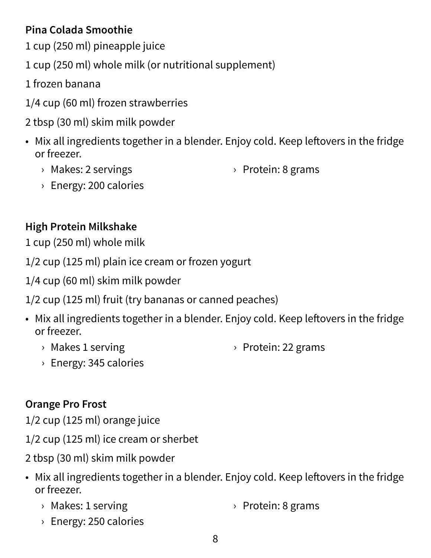## **Pina Colada Smoothie**

- 1 cup (250 ml) pineapple juice
- 1 cup (250 ml) whole milk (or nutritional supplement)
- 1 frozen banana
- 1/4 cup (60 ml) frozen strawberries
- 2 tbsp (30 ml) skim milk powder
- Mix all ingredients together in a blender. Enjoy cold. Keep leftovers in the fridge or freezer.
	- › Makes: 2 servings

› Protein: 8 grams

› Energy: 200 calories

## **High Protein Milkshake**

1 cup (250 ml) whole milk

1/2 cup (125 ml) plain ice cream or frozen yogurt

1/4 cup (60 ml) skim milk powder

1/2 cup (125 ml) fruit (try bananas or canned peaches)

- Mix all ingredients together in a blender. Enjoy cold. Keep leftovers in the fridge or freezer.
	- › Makes 1 serving

› Protein: 22 grams

› Energy: 345 calories

## **Orange Pro Frost**

1/2 cup (125 ml) orange juice

- 1/2 cup (125 ml) ice cream or sherbet
- 2 tbsp (30 ml) skim milk powder
- Mix all ingredients together in a blender. Enjoy cold. Keep leftovers in the fridge or freezer.
	- › Makes: 1 serving › Protein: 8 grams
	- › Energy: 250 calories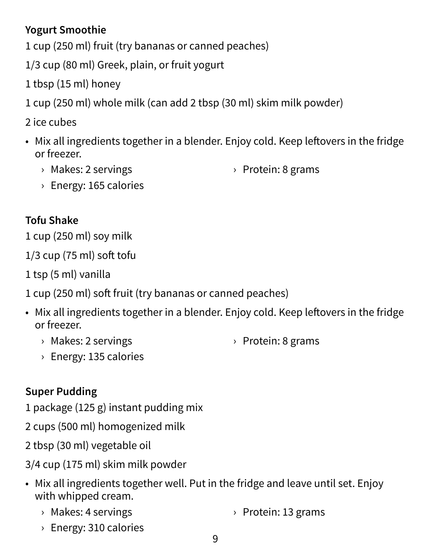#### **Yogurt Smoothie**

1 cup (250 ml) fruit (try bananas or canned peaches)

1/3 cup (80 ml) Greek, plain, or fruit yogurt

1 tbsp (15 ml) honey

1 cup (250 ml) whole milk (can add 2 tbsp (30 ml) skim milk powder)

2 ice cubes

- Mix all ingredients together in a blender. Enjoy cold. Keep leftovers in the fridge or freezer.
	- › Makes: 2 servings

› Protein: 8 grams

› Energy: 165 calories

## **Tofu Shake**

1 cup (250 ml) soy milk

1/3 cup (75 ml) soft tofu

1 tsp (5 ml) vanilla

1 cup (250 ml) soft fruit (try bananas or canned peaches)

- Mix all ingredients together in a blender. Enjoy cold. Keep leftovers in the fridge or freezer.
	- › Makes: 2 servings

› Protein: 8 grams

› Energy: 135 calories

## **Super Pudding**

1 package (125 g) instant pudding mix

2 cups (500 ml) homogenized milk

2 tbsp (30 ml) vegetable oil

3/4 cup (175 ml) skim milk powder

- Mix all ingredients together well. Put in the fridge and leave until set. Enjoy with whipped cream.
	- › Makes: 4 servings › Protein: 13 grams
	- › Energy: 310 calories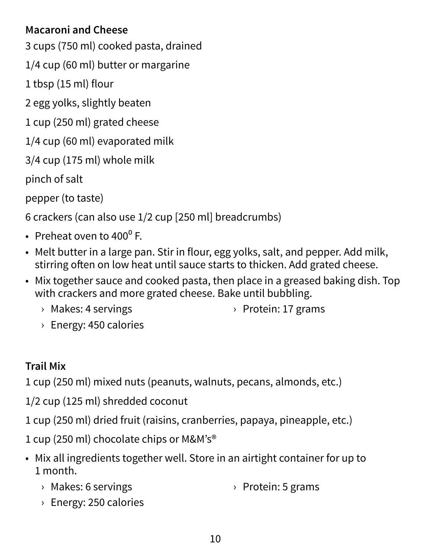#### **Macaroni and Cheese**

- 3 cups (750 ml) cooked pasta, drained
- 1/4 cup (60 ml) butter or margarine
- 1 tbsp (15 ml) flour

2 egg yolks, slightly beaten

- 1 cup (250 ml) grated cheese
- 1/4 cup (60 ml) evaporated milk

3/4 cup (175 ml) whole milk

pinch of salt

pepper (to taste)

6 crackers (can also use 1/2 cup [250 ml] breadcrumbs)

- Preheat oven to  $400^{\circ}$  F.
- Melt butter in a large pan. Stir in flour, egg yolks, salt, and pepper. Add milk, stirring often on low heat until sauce starts to thicken. Add grated cheese.
- Mix together sauce and cooked pasta, then place in a greased baking dish. Top with crackers and more grated cheese. Bake until bubbling.
	- › Makes: 4 servings

› Protein: 17 grams

› Energy: 450 calories

## **Trail Mix**

1 cup (250 ml) mixed nuts (peanuts, walnuts, pecans, almonds, etc.)

- 1/2 cup (125 ml) shredded coconut
- 1 cup (250 ml) dried fruit (raisins, cranberries, papaya, pineapple, etc.)
- 1 cup (250 ml) chocolate chips or M&M's®
- Mix all ingredients together well. Store in an airtight container for up to 1 month.
	- › Makes: 6 servings › Protein: 5 grams
	- › Energy: 250 calories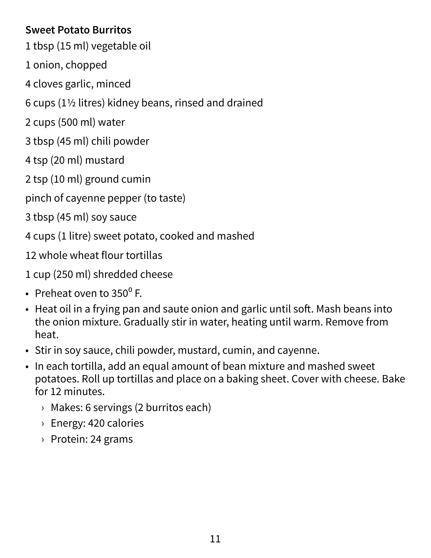#### **Sweet Potato Burritos**

- 1 tbsp (15 ml) vegetable oil
- 1 onion, chopped
- 4 cloves garlic, minced
- 6 cups ( $1\frac{1}{2}$  litres) kidney beans, rinsed and drained
- 2 cups (500 ml) water
- 3 tbsp (45 ml) chili powder
- 4 tsp (20 ml) mustard
- 2 tsp (10 ml) ground cumin
- pinch of cayenne pepper (to taste)
- 3 tbsp (45 ml) soy sauce
- 4 cups (1 litre) sweet potato, cooked and mashed
- 12 whole wheat flour tortillas
- 1 cup (250 ml) shredded cheese
- Preheat oven to  $350^{\circ}$  F.
- Heat oil in a frying pan and saute onion and garlic until soft. Mash beans into the onion mixture. Gradually stir in water, heating until warm. Remove from heat.
- Stir in soy sauce, chili powder, mustard, cumin, and cayenne.
- In each tortilla, add an equal amount of bean mixture and mashed sweet potatoes. Roll up tortillas and place on a baking sheet. Cover with cheese. Bake for 12 minutes.
	- › Makes: 6 servings (2 burritos each)
	- › Energy: 420 calories
	- › Protein: 24 grams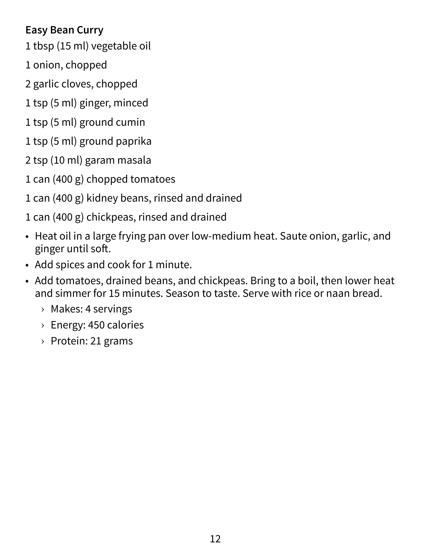#### **Easy Bean Curry**

- 1 tbsp (15 ml) vegetable oil
- 1 onion, chopped
- 2 garlic cloves, chopped
- 1 tsp (5 ml) ginger, minced
- 1 tsp (5 ml) ground cumin
- 1 tsp (5 ml) ground paprika
- 2 tsp (10 ml) garam masala
- 1 can (400 g) chopped tomatoes
- 1 can (400 g) kidney beans, rinsed and drained
- 1 can (400 g) chickpeas, rinsed and drained
- Heat oil in a large frying pan over low-medium heat. Saute onion, garlic, and ginger until soft.
- Add spices and cook for 1 minute.
- Add tomatoes, drained beans, and chickpeas. Bring to a boil, then lower heat and simmer for 15 minutes. Season to taste. Serve with rice or naan bread.
	- › Makes: 4 servings
	- › Energy: 450 calories
	- › Protein: 21 grams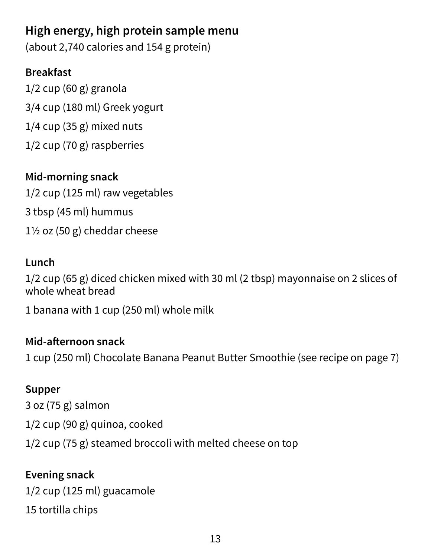## **High energy, high protein sample menu**

(about 2,740 calories and 154 g protein)

### **Breakfast**

1/2 cup (60 g) granola 3/4 cup (180 ml) Greek yogurt 1/4 cup (35 g) mixed nuts 1/2 cup (70 g) raspberries

#### **Mid-morning snack**

1/2 cup (125 ml) raw vegetables 3 tbsp (45 ml) hummus  $1\frac{1}{2}$  oz (50 g) cheddar cheese

### **Lunch**

1/2 cup (65 g) diced chicken mixed with 30 ml (2 tbsp) mayonnaise on 2 slices of whole wheat bread

1 banana with 1 cup (250 ml) whole milk

#### **Mid-afternoon snack**

1 cup (250 ml) Chocolate Banana Peanut Butter Smoothie (see recipe on page 7)

#### **Supper**

3 oz (75 g) salmon 1/2 cup (90 g) quinoa, cooked 1/2 cup (75 g) steamed broccoli with melted cheese on top

#### **Evening snack**

1/2 cup (125 ml) guacamole 15 tortilla chips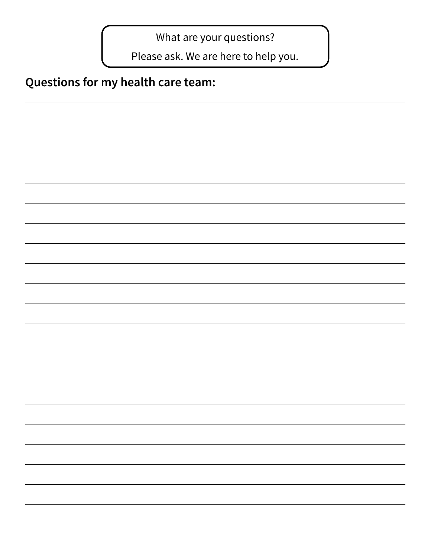What are your questions?

Please ask. We are here to help you.

## **Questions for my health care team:**